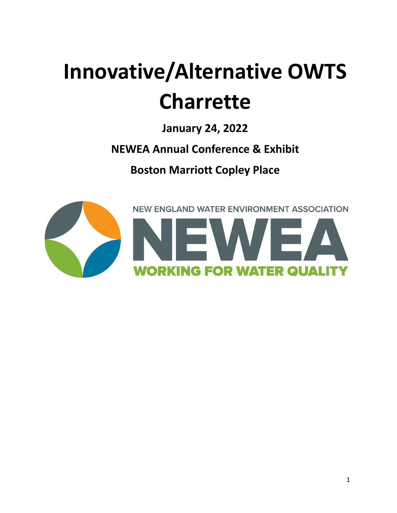# **Innovative/Alternative OWTS Charrette**

**January 24, 2022**

**NEWEA Annual Conference & Exhibit**

**Boston Marriott Copley Place**

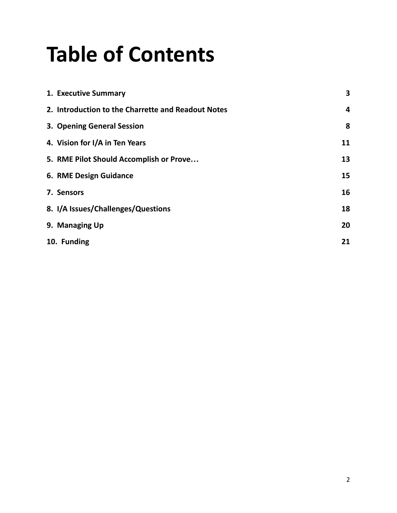## **Table of Contents**

| 1. Executive Summary                               | 3  |
|----------------------------------------------------|----|
| 2. Introduction to the Charrette and Readout Notes | 4  |
| 3. Opening General Session                         | 8  |
| 4. Vision for I/A in Ten Years                     | 11 |
| 5. RME Pilot Should Accomplish or Prove            | 13 |
| 6. RME Design Guidance                             | 15 |
| 7. Sensors                                         | 16 |
| 8. I/A Issues/Challenges/Questions                 | 18 |
| 9. Managing Up                                     | 20 |
| 10. Funding                                        | 21 |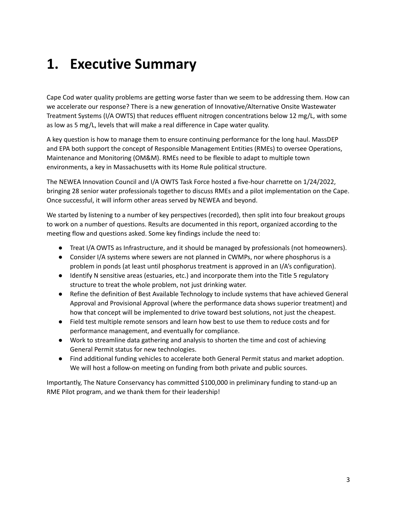### <span id="page-2-0"></span>**1. Executive Summary**

Cape Cod water quality problems are getting worse faster than we seem to be addressing them. How can we accelerate our response? There is a new generation of Innovative/Alternative Onsite Wastewater Treatment Systems (I/A OWTS) that reduces effluent nitrogen concentrations below 12 mg/L, with some as low as 5 mg/L, levels that will make a real difference in Cape water quality.

A key question is how to manage them to ensure continuing performance for the long haul. MassDEP and EPA both support the concept of Responsible Management Entities (RMEs) to oversee Operations, Maintenance and Monitoring (OM&M). RMEs need to be flexible to adapt to multiple town environments, a key in Massachusetts with its Home Rule political structure.

The NEWEA Innovation Council and I/A OWTS Task Force hosted a five-hour charrette on 1/24/2022, bringing 28 senior water professionals together to discuss RMEs and a pilot implementation on the Cape. Once successful, it will inform other areas served by NEWEA and beyond.

We started by listening to a number of key perspectives (recorded), then split into four breakout groups to work on a number of questions. Results are documented in this report, organized according to the meeting flow and questions asked. Some key findings include the need to:

- Treat I/A OWTS as Infrastructure, and it should be managed by professionals (not homeowners).
- Consider I/A systems where sewers are not planned in CWMPs, nor where phosphorus is a problem in ponds (at least until phosphorus treatment is approved in an I/A's configuration).
- Identify N sensitive areas (estuaries, etc.) and incorporate them into the Title 5 regulatory structure to treat the whole problem, not just drinking water.
- Refine the definition of Best Available Technology to include systems that have achieved General Approval and Provisional Approval (where the performance data shows superior treatment) and how that concept will be implemented to drive toward best solutions, not just the cheapest.
- Field test multiple remote sensors and learn how best to use them to reduce costs and for performance management, and eventually for compliance.
- Work to streamline data gathering and analysis to shorten the time and cost of achieving General Permit status for new technologies.
- Find additional funding vehicles to accelerate both General Permit status and market adoption. We will host a follow-on meeting on funding from both private and public sources.

Importantly, The Nature Conservancy has committed \$100,000 in preliminary funding to stand-up an RME Pilot program, and we thank them for their leadership!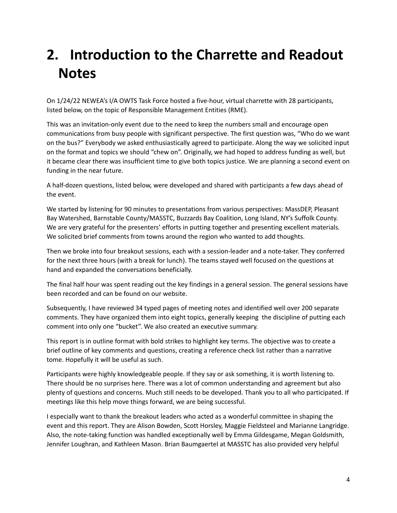## <span id="page-3-0"></span>**2. Introduction to the Charrette and Readout Notes**

On 1/24/22 NEWEA's I/A OWTS Task Force hosted a five-hour, virtual charrette with 28 participants, listed below, on the topic of Responsible Management Entities (RME).

This was an invitation-only event due to the need to keep the numbers small and encourage open communications from busy people with significant perspective. The first question was, "Who do we want on the bus?" Everybody we asked enthusiastically agreed to participate. Along the way we solicited input on the format and topics we should "chew on". Originally, we had hoped to address funding as well, but it became clear there was insufficient time to give both topics justice. We are planning a second event on funding in the near future.

A half-dozen questions, listed below, were developed and shared with participants a few days ahead of the event.

We started by listening for 90 minutes to presentations from various perspectives: MassDEP, Pleasant Bay Watershed, Barnstable County/MASSTC, Buzzards Bay Coalition, Long Island, NY's Suffolk County. We are very grateful for the presenters' efforts in putting together and presenting excellent materials. We solicited brief comments from towns around the region who wanted to add thoughts.

Then we broke into four breakout sessions, each with a session-leader and a note-taker. They conferred for the next three hours (with a break for lunch). The teams stayed well focused on the questions at hand and expanded the conversations beneficially.

The final half hour was spent reading out the key findings in a general session. The general sessions have been recorded and can be found on our website.

Subsequently, I have reviewed 34 typed pages of meeting notes and identified well over 200 separate comments. They have organized them into eight topics, generally keeping the discipline of putting each comment into only one "bucket". We also created an executive summary.

This report is in outline format with bold strikes to highlight key terms. The objective was to create a brief outline of key comments and questions, creating a reference check list rather than a narrative tome. Hopefully it will be useful as such.

Participants were highly knowledgeable people. If they say or ask something, it is worth listening to. There should be no surprises here. There was a lot of common understanding and agreement but also plenty of questions and concerns. Much still needs to be developed. Thank you to all who participated. If meetings like this help move things forward, we are being successful.

I especially want to thank the breakout leaders who acted as a wonderful committee in shaping the event and this report. They are Alison Bowden, Scott Horsley, Maggie Fieldsteel and Marianne Langridge. Also, the note-taking function was handled exceptionally well by Emma Gildesgame, Megan Goldsmith, Jennifer Loughran, and Kathleen Mason. Brian Baumgaertel at MASSTC has also provided very helpful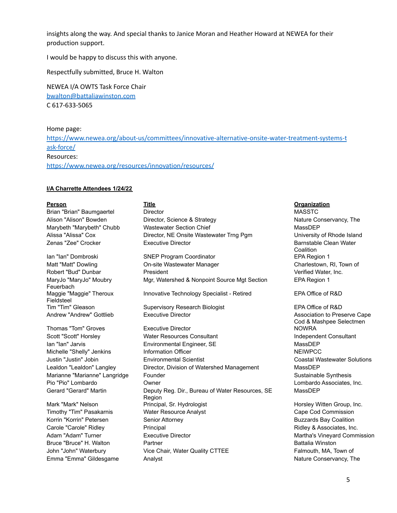insights along the way. And special thanks to Janice Moran and Heather Howard at NEWEA for their production support.

I would be happy to discuss this with anyone.

Respectfully submitted, Bruce H. Walton

NEWEA I/A OWTS Task Force Chair [bwalton@battaliawinston.com](mailto:bwalton@battaliawinston.com) C 617-633-5065

Home page:

[https://www.newea.org/about-us/committees/innovative-alternative-onsite-water-treatment-systems-t](https://www.newea.org/about-us/committees/innovative-alternative-onsite-water-treatment-systems-task-force/) [ask-force/](https://www.newea.org/about-us/committees/innovative-alternative-onsite-water-treatment-systems-task-force/) Resources: <https://www.newea.org/resources/innovation/resources/>

#### **I/A Charrette Attendees 1/24/22**

MaryJo "MaryJo" Moubry Feuerbach Maggie "Maggie" Theroux Fieldsteel

#### **Person Title Organization** Brian "Brian" Baumgaertel Director MASSTC Alison "Alison" Bowden **Director, Science & Strategy Nature Conservancy**, The Nature Conservancy, The Marybeth "Marybeth" Chubb Wastewater Section Chief Marybeth MassDEP Alissa "Alissa" Cox Director, NE Onsite Wastewater Trng Pgm University of Rhode Island Zenas "Zee" Crocker **Executive Director** Barnstable Clean Water Barnstable Clean Water

Ian "Ian" Dombroski SNEP Program Coordinator EPA Region 1 Matt "Matt" Dowling **Charlestown, RI, Town of Charlestown, RI, Town of** Charlestown, RI, Town of Robert "Bud" Dunbar **President** President Verified Water, Inc. Mgr, Watershed & Nonpoint Source Mgt Section EPA Region 1 Innovative Technology Specialist - Retired EPA Office of R&D

Tim "Tim" Gleason Supervisory Research Biologist EPA Office of R&D Andrew "Andrew" Gottlieb **Executive Director** Andrew Association to Preserve Cape

Thomas "Tom" Groves **Executive Director** Now RASH COMPLET A RESEARCH COMPLETE RESEARCH TO MEET A RESEARCH COMPLETE Scott "Scott" Horsley **Scott Access** Water Resources Consultant **Independent Consultant** Consultant Ian "Ian" Jarvis **Environmental Engineer, SE** MassDEP Michelle "Shelly" Jenkins **Information Officer** NEIWPCC **NEIWPCC** Justin "Justin" Jobin Environmental Scientist Coastal Wastewater Solutions Lealdon "Lealdon" Langley **Director, Division of Watershed Management** MassDEP Marianne "Marianne" Langridge Founder Sustainable Synthesis Sustainable Synthesis Pio "Pio" Lombardo Owner Lombardo Associates, Inc. Gerard "Gerard" Martin Deputy Reg. Dir., Bureau of Water Resources, SE Region Mark "Mark" Nelson **Principal, Sr. Hydrologist** Horsley Witten Group, Inc. Timothy "Tim" Pasakarnis **Water Resource Analyst** Cape Cod Commission Cape Cod Commission Korrin "Korrin" Petersen Senior Attorney Senior Attorney Subsection Buzzards Bay Coalition Carole "Carole" Ridley **Principal Principal Ridley & Associates**, Inc. Adam "Adam" Turner **Executive Director** Martha's Vineyard Commission **Martha's Vineyard Commission** Bruce "Bruce" H. Walton **Partner Battalia Winston** Partner **Battalia Winston** John "John" Waterbury **Vice Chair, Water Quality CTTEE** Falmouth, MA, Town of Emma "Emma" Gildesgame Analyst Analyst Analyst Nature Conservancy, The Nature Conservancy, The Nature Conservancy, The Nature Conservancy, The Nature Conservancy, The Nature Conservancy, The Nature Conservancy, The Nature

# **Coalition**

Cod & Mashpee Selectmen MassDEP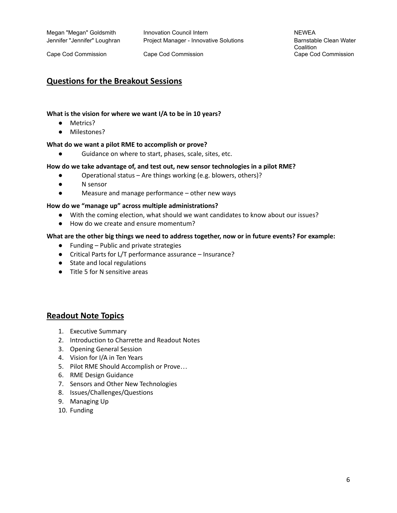Megan "Megan" Goldsmith Innovation Council Intern NEWEA Jennifer "Jennifer" Loughran Project Manager - Innovative Solutions Barnstable Clean Water

Cape Cod Commission Cape Cod Commission Cape Cod Commission

**Coalition** 

#### **Questions for the Breakout Sessions**

#### **What is the vision for where we want I/A to be in 10 years?**

- Metrics?
- Milestones?

#### **What do we want a pilot RME to accomplish or prove?**

● Guidance on where to start, phases, scale, sites, etc.

#### **How do we take advantage of, and test out, new sensor technologies in a pilot RME?**

- Operational status Are things working (e.g. blowers, others)?
- N sensor
- Measure and manage performance other new ways

#### **How do we "manage up" across multiple administrations?**

- With the coming election, what should we want candidates to know about our issues?
- How do we create and ensure momentum?

#### **What are the other big things we need to address together, now or in future events? For example:**

- Funding Public and private strategies
- Critical Parts for L/T performance assurance Insurance?
- State and local regulations
- Title 5 for N sensitive areas

#### **Readout Note Topics**

- 1. Executive Summary
- 2. Introduction to Charrette and Readout Notes
- 3. Opening General Session
- 4. Vision for I/A in Ten Years
- 5. Pilot RME Should Accomplish or Prove…
- 6. RME Design Guidance
- 7. Sensors and Other New Technologies
- 8. Issues/Challenges/Questions
- 9. Managing Up
- 10. Funding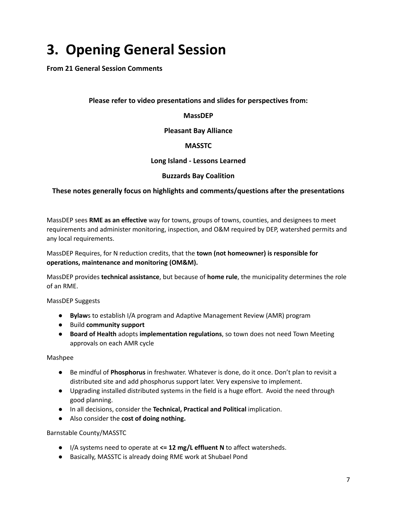## <span id="page-6-0"></span>**3. Opening General Session**

**From 21 General Session Comments**

#### **Please refer to video presentations and slides for perspectives from:**

**MassDEP**

**Pleasant Bay Alliance**

#### **MASSTC**

**Long Island - Lessons Learned**

#### **Buzzards Bay Coalition**

#### **These notes generally focus on highlights and comments/questions after the presentations**

MassDEP sees **RME as an effective** way for towns, groups of towns, counties, and designees to meet requirements and administer monitoring, inspection, and O&M required by DEP, watershed permits and any local requirements.

#### MassDEP Requires, for N reduction credits, that the **town (not homeowner) is responsible for operations, maintenance and monitoring (OM&M).**

MassDEP provides **technical assistance**, but because of **home rule**, the municipality determines the role of an RME.

#### MassDEP Suggests

- **Bylaw**s to establish I/A program and Adaptive Management Review (AMR) program
- Build **community support**
- **Board of Health** adopts **implementation regulations**, so town does not need Town Meeting approvals on each AMR cycle

#### Mashpee

- Be mindful of **Phosphorus** in freshwater. Whatever is done, do it once. Don't plan to revisit a distributed site and add phosphorus support later. Very expensive to implement.
- Upgrading installed distributed systems in the field is a huge effort. Avoid the need through good planning.
- In all decisions, consider the **Technical, Practical and Political** implication.
- Also consider the **cost of doing nothing.**

#### Barnstable County/MASSTC

- I/A systems need to operate at **<= 12 mg/L effluent N** to affect watersheds.
- Basically, MASSTC is already doing RME work at Shubael Pond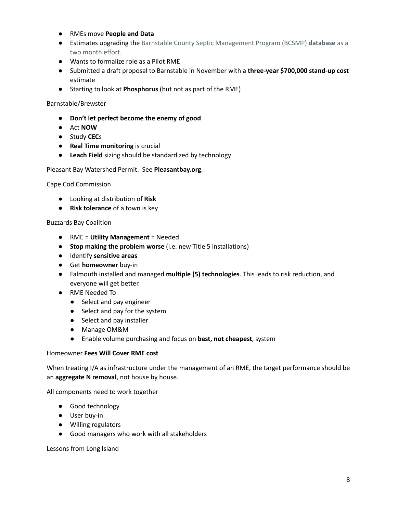- RMEs move **People and Data**
- Estimates upgrading the Barnstable County Septic Management Program (BCSMP) **database** as a two month effort.
- Wants to formalize role as a Pilot RME
- Submitted a draft proposal to Barnstable in November with a **three-year \$700,000 stand-up cost** estimate
- Starting to look at **Phosphorus** (but not as part of the RME)

#### Barnstable/Brewster

- **● Don't let perfect become the enemy of good**
- Act **NOW**
- Study **CEC**s
- **Real Time monitoring** is crucial
- **Leach Field** sizing should be standardized by technology

#### Pleasant Bay Watershed Permit. See **Pleasantbay.org**.

Cape Cod Commission

- Looking at distribution of **Risk**
- **Risk tolerance** of a town is key

#### Buzzards Bay Coalition

- RME = **Utility Management** = Needed
- **Stop making the problem worse** (i.e. new Title 5 installations)
- Identify **sensitive areas**
- Get **homeowner** buy-in
- Falmouth installed and managed **multiple (5) technologies**. This leads to risk reduction, and everyone will get better.
- RME Needed To
	- Select and pay engineer
	- Select and pay for the system
	- Select and pay installer
	- Manage OM&M
	- Enable volume purchasing and focus on **best, not cheapest**, system

#### Homeowner **Fees Will Cover RME cost**

When treating I/A as infrastructure under the management of an RME, the target performance should be an **aggregate N removal**, not house by house.

All components need to work together

- Good technology
- User buy-in
- Willing regulators
- Good managers who work with all stakeholders

Lessons from Long Island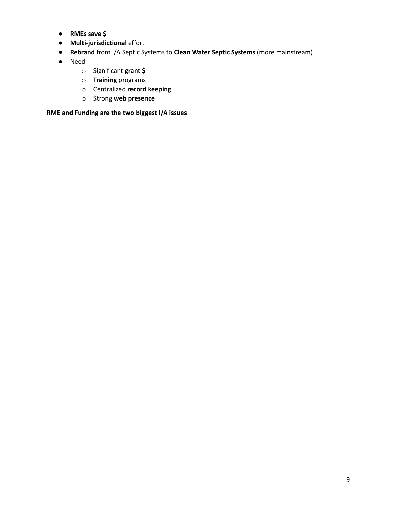- **● RMEs save \$**
- **Multi-jurisdictional** effort
- **Rebrand** from I/A Septic Systems to **Clean Water Septic Systems** (more mainstream)
- Need
	- o Significant **grant \$**
	- o **Training** programs
	- o Centralized **record keeping**
	- o Strong **web presence**

**RME and Funding are the two biggest I/A issues**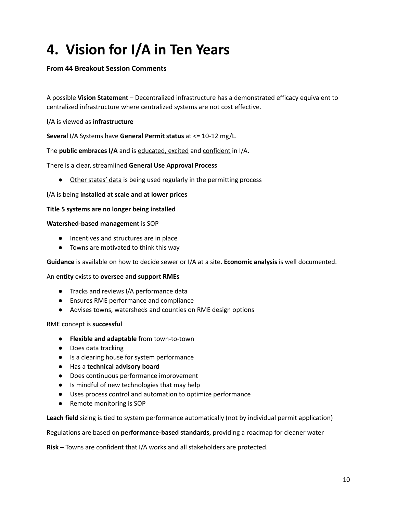## <span id="page-9-0"></span>**4. Vision for I/A in Ten Years**

#### **From 44 Breakout Session Comments**

A possible **Vision Statement** – Decentralized infrastructure has a demonstrated efficacy equivalent to centralized infrastructure where centralized systems are not cost effective.

I/A is viewed as **infrastructure**

**Several** I/A Systems have **General Permit status** at <= 10-12 mg/L.

The **public embraces I/A** and is educated, excited and confident in I/A.

There is a clear, streamlined **General Use Approval Process**

● Other states' data is being used regularly in the permitting process

I/A is being **installed at scale and at lower prices**

#### **Title 5 systems are no longer being installed**

#### **Watershed-based management** is SOP

- Incentives and structures are in place
- Towns are motivated to think this way

**Guidance** is available on how to decide sewer or I/A at a site. **Economic analysis** is well documented.

#### An **entity** exists to **oversee and support RMEs**

- Tracks and reviews I/A performance data
- Ensures RME performance and compliance
- Advises towns, watersheds and counties on RME design options

#### RME concept is **successful**

- **Flexible and adaptable** from town-to-town
- Does data tracking
- Is a clearing house for system performance
- Has a **technical advisory board**
- Does continuous performance improvement
- Is mindful of new technologies that may help
- Uses process control and automation to optimize performance
- Remote monitoring is SOP

**Leach field** sizing is tied to system performance automatically (not by individual permit application)

Regulations are based on **performance-based standards**, providing a roadmap for cleaner water

**Risk** – Towns are confident that I/A works and all stakeholders are protected.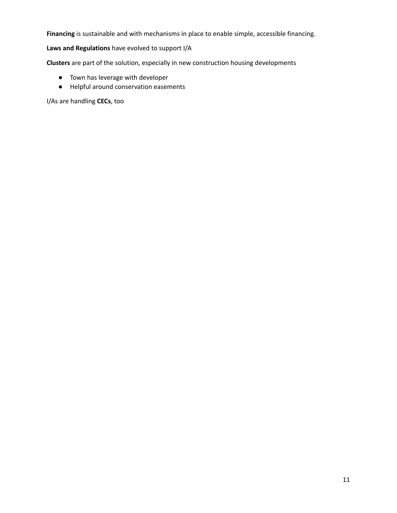**Financing** is sustainable and with mechanisms in place to enable simple, accessible financing.

#### **Laws and Regulations** have evolved to support I/A

**Clusters** are part of the solution, especially in new construction housing developments

- Town has leverage with developer
- Helpful around conservation easements

I/As are handling **CECs**, too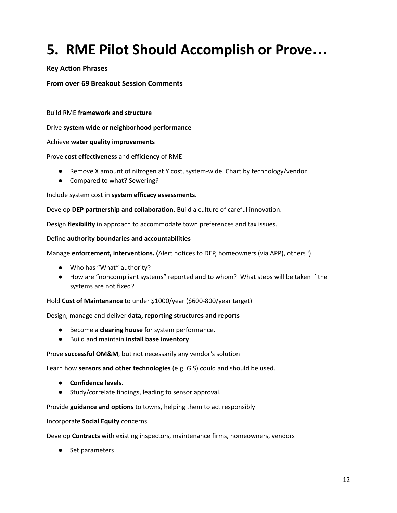## <span id="page-11-0"></span>**5. RME Pilot Should Accomplish or Prove…**

#### **Key Action Phrases**

#### **From over 69 Breakout Session Comments**

Build RME **framework and structure**

Drive **system wide or neighborhood performance**

Achieve **water quality improvements**

#### Prove **cost effectiveness** and **efficiency** of RME

- Remove X amount of nitrogen at Y cost, system-wide. Chart by technology/vendor.
- Compared to what? Sewering?

Include system cost in **system efficacy assessments**.

Develop **DEP partnership and collaboration.** Build a culture of careful innovation.

Design **flexibility** in approach to accommodate town preferences and tax issues.

#### Define **authority boundaries and accountabilities**

#### Manage **enforcement, interventions. (**Alert notices to DEP, homeowners (via APP), others?)

- Who has "What" authority?
- How are "noncompliant systems" reported and to whom? What steps will be taken if the systems are not fixed?

Hold **Cost of Maintenance** to under \$1000/year (\$600-800/year target)

Design, manage and deliver **data, reporting structures and reports**

- Become a **clearing house** for system performance.
- **●** Build and maintain **install base inventory**

Prove **successful OM&M**, but not necessarily any vendor's solution

Learn how **sensors and other technologies** (e.g. GIS) could and should be used.

- **Confidence levels**.
- Study/correlate findings, leading to sensor approval.

#### Provide **guidance and options** to towns, helping them to act responsibly

#### Incorporate **Social Equity** concerns

Develop **Contracts** with existing inspectors, maintenance firms, homeowners, vendors

● Set parameters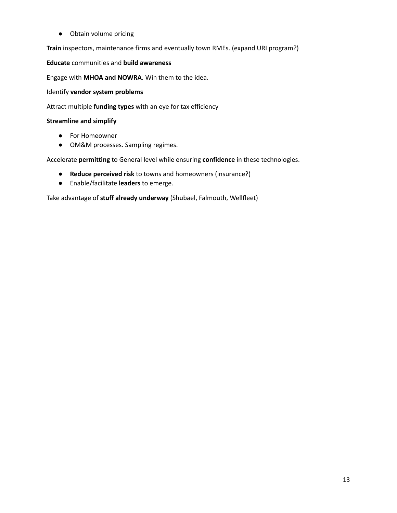● Obtain volume pricing

**Train** inspectors, maintenance firms and eventually town RMEs. (expand URI program?)

#### **Educate** communities and **build awareness**

Engage with **MHOA and NOWRA**. Win them to the idea.

Identify **vendor system problems**

Attract multiple **funding types** with an eye for tax efficiency

#### **Streamline and simplify**

- For Homeowner
- OM&M processes. Sampling regimes.

Accelerate **permitting** to General level while ensuring **confidence** in these technologies.

- **● Reduce perceived risk** to towns and homeowners (insurance?)
- Enable/facilitate **leaders** to emerge.

Take advantage of **stuff already underway** (Shubael, Falmouth, Wellfleet)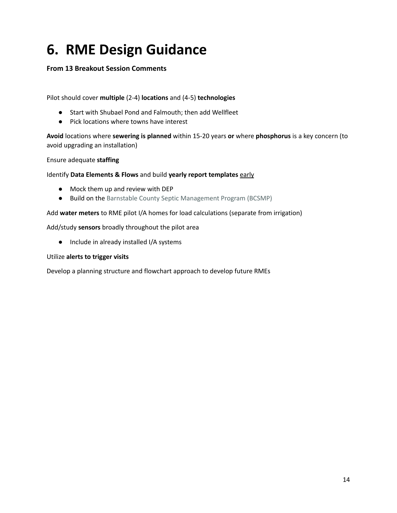## <span id="page-13-0"></span>**6. RME Design Guidance**

#### **From 13 Breakout Session Comments**

Pilot should cover **multiple** (2-4) **locations** and (4-5) **technologies**

- Start with Shubael Pond and Falmouth; then add Wellfleet
- Pick locations where towns have interest

**Avoid** locations where **sewering is planned** within 15-20 years **or** where **phosphorus** is a key concern (to avoid upgrading an installation)

Ensure adequate **staffing**

#### Identify **Data Elements & Flows** and build **yearly report templates** early

- Mock them up and review with DEP
- Build on the Barnstable County Septic Management Program (BCSMP)

Add **water meters** to RME pilot I/A homes for load calculations (separate from irrigation)

Add/study **sensors** broadly throughout the pilot area

● Include in already installed I/A systems

#### Utilize **alerts to trigger visits**

Develop a planning structure and flowchart approach to develop future RMEs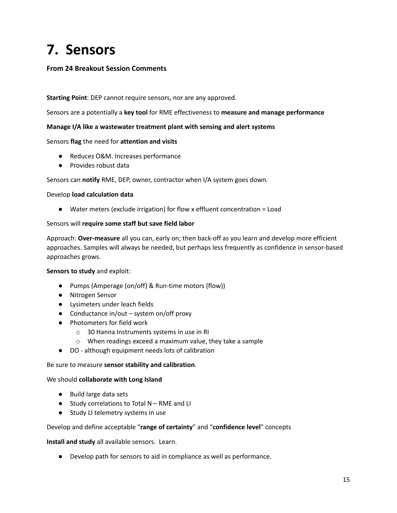## <span id="page-14-0"></span>**7. Sensors**

#### **From 24 Breakout Session Comments**

#### **Starting Point**: DEP cannot require sensors, nor are any approved.

Sensors are a potentially a **key tool** for RME effectiveness to **measure and manage performance**

#### **Manage I/A like a wastewater treatment plant with sensing and alert systems**

#### Sensors **flag** the need for **attention and visits**

- Reduces O&M. Increases performance
- Provides robust data

Sensors can **notify** RME, DEP, owner, contractor when I/A system goes down.

#### Develop **load calculation data**

● Water meters (exclude irrigation) for flow x effluent concentration = Load

#### Sensors will **require some staff but save field labor**

Approach: **Over-measure** all you can, early on; then back-off as you learn and develop more efficient approaches. Samples will always be needed, but perhaps less frequently as confidence in sensor-based approaches grows.

#### **Sensors to study** and exploit:

- Pumps (Amperage (on/off) & Run-time motors (flow))
- Nitrogen Sensor
- Lysimeters under leach fields
- Conductance in/out system on/off proxy
- Photometers for field work
	- o 30 Hanna Instruments systems in use in RI
	- o When readings exceed a maximum value, they take a sample
- DO although equipment needs lots of calibration

#### Be sure to measure **sensor stability and calibration**.

#### We should **collaborate with Long Island**

- Build large data sets
- Study correlations to Total N RME and LI
- Study LI telemetry systems in use

#### Develop and define acceptable "**range of certainty**" and "**confidence level**" concepts

**Install and study** all available sensors. Learn.

● Develop path for sensors to aid in compliance as well as performance.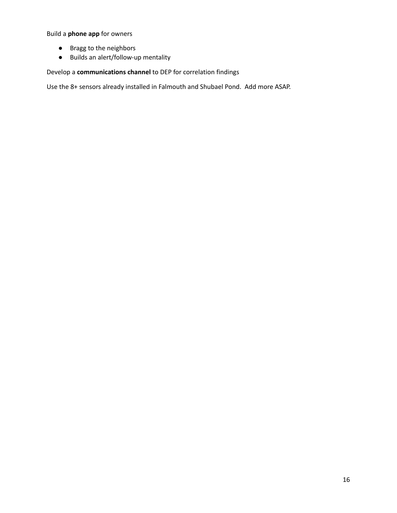Build a **phone app** for owners

- Bragg to the neighbors
- Builds an alert/follow-up mentality

Develop a **communications channel** to DEP for correlation findings

Use the 8+ sensors already installed in Falmouth and Shubael Pond. Add more ASAP.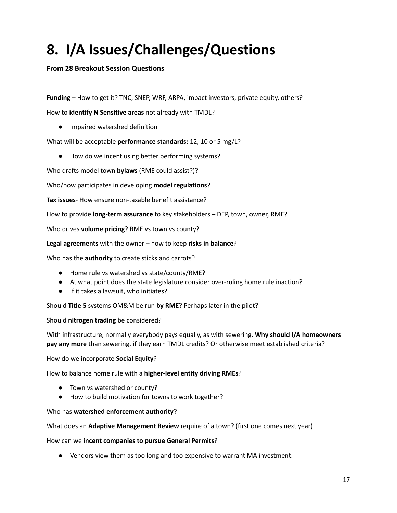## <span id="page-16-0"></span>**8. I/A Issues/Challenges/Questions**

#### **From 28 Breakout Session Questions**

**Funding** – How to get it? TNC, SNEP, WRF, ARPA, impact investors, private equity, others?

How to **identify N Sensitive areas** not already with TMDL?

● Impaired watershed definition

What will be acceptable **performance standards:** 12, 10 or 5 mg/L?

● How do we incent using better performing systems?

Who drafts model town **bylaws** (RME could assist?)?

Who/how participates in developing **model regulations**?

**Tax issues**- How ensure non-taxable benefit assistance?

How to provide **long-term assurance** to key stakeholders – DEP, town, owner, RME?

Who drives **volume pricing**? RME vs town vs county?

**Legal agreements** with the owner – how to keep **risks in balance**?

Who has the **authority** to create sticks and carrots?

- Home rule vs watershed vs state/county/RME?
- At what point does the state legislature consider over-ruling home rule inaction?
- If it takes a lawsuit, who initiates?

Should **Title 5** systems OM&M be run **by RME**? Perhaps later in the pilot?

Should **nitrogen trading** be considered?

With infrastructure, normally everybody pays equally, as with sewering. **Why should I/A homeowners pay any more** than sewering, if they earn TMDL credits? Or otherwise meet established criteria?

How do we incorporate **Social Equity**?

How to balance home rule with a **higher-level entity driving RMEs**?

- Town vs watershed or county?
- How to build motivation for towns to work together?

#### Who has **watershed enforcement authority**?

What does an **Adaptive Management Review** require of a town? (first one comes next year)

How can we **incent companies to pursue General Permits**?

● Vendors view them as too long and too expensive to warrant MA investment.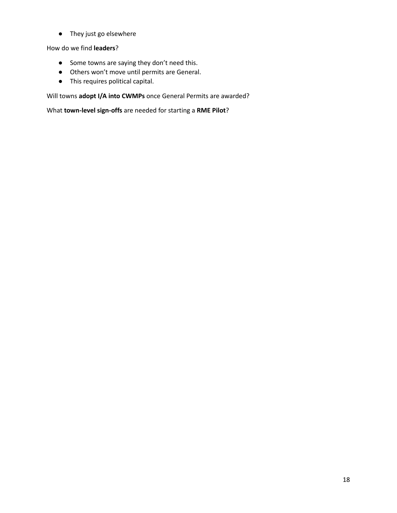● They just go elsewhere

How do we find **leaders**?

- Some towns are saying they don't need this.
- Others won't move until permits are General.
- This requires political capital.

Will towns **adopt I/A into CWMPs** once General Permits are awarded?

What **town-level sign-offs** are needed for starting a **RME Pilot**?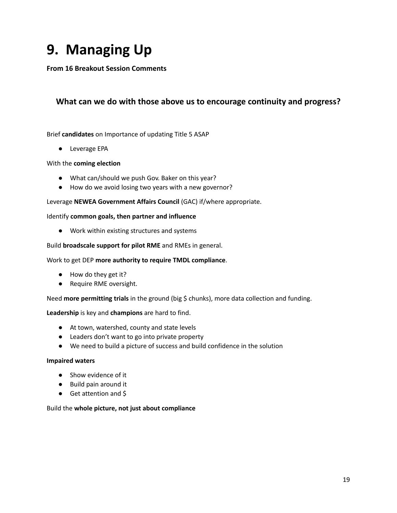## <span id="page-18-0"></span>**9. Managing Up**

**From 16 Breakout Session Comments**

#### **What can we do with those above us to encourage continuity and progress?**

#### Brief **candidates** on Importance of updating Title 5 ASAP

● Leverage EPA

#### With the **coming election**

- What can/should we push Gov. Baker on this year?
- How do we avoid losing two years with a new governor?

#### Leverage **NEWEA Government Affairs Council** (GAC) if/where appropriate.

#### Identify **common goals, then partner and influence**

● Work within existing structures and systems

#### Build **broadscale support for pilot RME** and RMEs in general.

#### Work to get DEP **more authority to require TMDL compliance**.

- How do they get it?
- Require RME oversight.

#### Need **more permitting trials** in the ground (big \$ chunks), more data collection and funding.

#### **Leadership** is key and **champions** are hard to find.

- At town, watershed, county and state levels
- Leaders don't want to go into private property
- We need to build a picture of success and build confidence in the solution

#### **Impaired waters**

- Show evidence of it
- Build pain around it
- Get attention and \$

#### Build the **whole picture, not just about compliance**